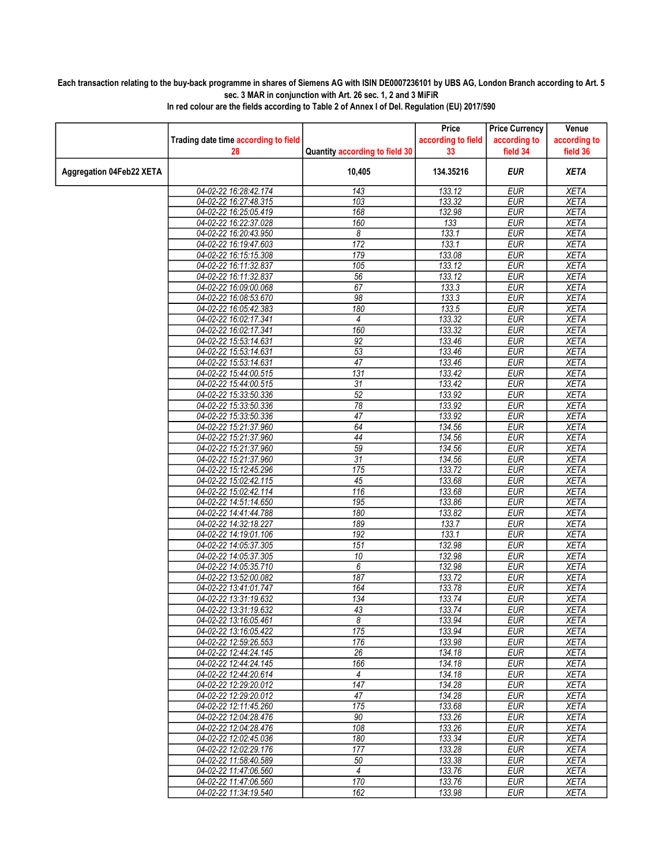## Each transaction relating to the buy-back programme in shares of Siemens AG with ISIN DE0007236101 by UBS AG, London Branch according to Art. 5 sec. 3 MAR in conjunction with Art. 26 sec. 1, 2 and 3 MiFiR

|                          |                                            |                                | Price                    | <b>Price Currency</b>    | Venue                    |
|--------------------------|--------------------------------------------|--------------------------------|--------------------------|--------------------------|--------------------------|
|                          | Trading date time according to field<br>28 | Quantity according to field 30 | according to field<br>33 | according to<br>field 34 | according to<br>field 36 |
|                          |                                            |                                |                          |                          |                          |
| Aggregation 04Feb22 XETA |                                            | 10,405                         | 134.35216                | EUR                      | <b>XETA</b>              |
|                          | 04-02-22 16:28:42.174                      | 143                            | 133.12                   | <b>EUR</b>               | <b>XETA</b>              |
|                          | 04-02-22 16:27:48.315                      | 103                            | 133.32                   | <b>EUR</b>               | <b>XETA</b>              |
|                          | 04-02-22 16:25:05.419                      | 168                            | 132.98                   | <b>EUR</b>               | <b>XETA</b>              |
|                          | 04-02-22 16:22:37.028                      | 160                            | 133                      | <b>EUR</b>               | <b>XETA</b>              |
|                          | 04-02-22 16:20:43.950                      | 8                              | 133.1                    | <b>EUR</b>               | <b>XETA</b>              |
|                          | 04-02-22 16:19:47.603                      | $\overline{172}$               | 133.1                    | EUR                      | <b>XETA</b>              |
|                          | 04-02-22 16:15:15.308                      | 179                            | 133.08                   | <b>EUR</b>               | <b>XETA</b>              |
|                          | 04-02-22 16:11:32.837                      | 105                            | 133.12                   | <b>EUR</b>               | <b>XETA</b>              |
|                          | 04-02-22 16:11:32.837                      | 56                             | 133.12                   | <b>EUR</b>               | <b>XETA</b>              |
|                          | 04-02-22 16:09:00.068                      | 67                             | 133.3                    | <b>EUR</b>               | <b>XETA</b>              |
|                          | 04-02-22 16:08:53.670                      | 98                             | 133.3                    | <b>EUR</b>               | <b>XETA</b>              |
|                          | 04-02-22 16:05:42.383                      | 180                            | 133.5                    | <b>EUR</b>               | <b>XETA</b>              |
|                          | 04-02-22 16:02:17.341                      | 4                              | 133.32                   | <b>EUR</b>               | <b>XETA</b>              |
|                          | 04-02-22 16:02:17.341                      | 160                            | 133.32                   | <b>EUR</b>               | <b>XETA</b>              |
|                          | 04-02-22 15:53:14.631                      | 92                             | 133.46                   | <b>EUR</b>               | <b>XETA</b>              |
|                          | 04-02-22 15:53:14.631                      | 53                             | 133.46                   | <b>EUR</b>               | <b>XETA</b>              |
|                          | 04-02-22 15:53:14.631                      | $\overline{47}$                | 133.46                   | <b>EUR</b>               | <b>XETA</b>              |
|                          | 04-02-22 15:44:00.515                      | 131                            | 133.42                   | <b>EUR</b>               | <b>XETA</b>              |
|                          | 04-02-22 15:44:00.515                      | 31                             | 133.42                   | <b>EUR</b>               | <b>XETA</b>              |
|                          | 04-02-22 15:33:50.336                      | $\overline{52}$                | 133.92                   | <b>EUR</b>               | <b>XETA</b>              |
|                          | 04-02-22 15:33:50.336                      | $\overline{78}$                | 133.92                   | <b>EUR</b>               | <b>XETA</b>              |
|                          | 04-02-22 15:33:50.336                      | $\overline{47}$                | 133.92                   | <b>EUR</b>               | <b>XETA</b>              |
|                          | 04-02-22 15:21:37.960                      | 64                             | 134.56                   | <b>EUR</b>               | <b>XETA</b>              |
|                          | 04-02-22 15:21:37.960                      | 44                             | 134.56                   | <b>EUR</b>               | <b>XETA</b>              |
|                          | 04-02-22 15:21:37.960                      | 59                             | 134.56                   | <b>EUR</b>               | <b>XETA</b>              |
|                          | 04-02-22 15:21:37.960                      | $\overline{31}$                | 134.56                   | <b>EUR</b>               | <b>XETA</b>              |
|                          | 04-02-22 15:12:45.296                      | 175                            | 133.72                   | <b>EUR</b>               | <b>XETA</b>              |
|                          | 04-02-22 15:02:42.115                      | 45                             | 133.68                   | <b>EUR</b>               | <b>XETA</b>              |
|                          | 04-02-22 15:02:42.114                      | 116                            | 133.68                   | <b>EUR</b>               | <b>XETA</b>              |
|                          | 04-02-22 14:51:14.650                      | 195                            | 133.86                   | <b>EUR</b>               | <b>XETA</b>              |
|                          | 04-02-22 14:41:44.788                      | 180                            | 133.82                   | EUR                      | <b>XETA</b>              |
|                          | 04-02-22 14:32:18.227                      | 189                            | 133.7                    | <b>EUR</b>               | <b>XETA</b>              |
|                          | 04-02-22 14:19:01.106                      | 192                            | 133.1                    | <b>EUR</b>               | <b>XETA</b>              |
|                          | 04-02-22 14:05:37.305                      | 151                            | 132.98                   | <b>EUR</b>               | <b>XETA</b>              |
|                          | 04-02-22 14:05:37.305                      | 10                             | 132.98                   | <b>EUR</b>               | <b>XETA</b>              |
|                          | 04-02-22 14:05:35.710                      | 6                              | 132.98                   | <b>EUR</b>               | <b>XETA</b>              |
|                          | 04-02-22 13:52:00.082                      | 187                            | 133.72                   | <b>EUR</b>               | <b>XETA</b>              |
|                          | 04-02-22 13:41:01.747                      | 164                            | 133.78                   | <b>EUR</b>               | <b>XETA</b>              |
|                          | 04-02-22 13:31:19.632                      | 134                            | 133.74                   | <b>EUR</b>               | <b>XETA</b>              |
|                          | 04-02-22 13:31:19.632                      | 43                             | 133.74                   | <b>EUR</b>               | <b>XETA</b>              |
|                          | 04-02-22 13:16:05.461                      | 8                              | 133.94                   | EUR                      | XETA                     |
|                          | 04-02-22 13:16:05.422                      | 175                            | 133.94                   | EUR                      | <b>XETA</b>              |
|                          | 04-02-22 12:59:26.553                      | 176                            | 133.98                   | <b>EUR</b>               | <b>XETA</b>              |
|                          | 04-02-22 12:44:24.145                      | 26                             | 134.18                   | <b>EUR</b>               | <b>XETA</b>              |
|                          | 04-02-22 12:44:24.145                      | 166                            | 134.18                   | <b>EUR</b>               | <b>XETA</b>              |
|                          | 04-02-22 12:44:20.614                      | 4                              | 134.18                   | <b>EUR</b>               | <b>XETA</b>              |
|                          | 04-02-22 12:29:20.012                      | 147                            | 134.28                   | <b>EUR</b>               | <b>XETA</b>              |
|                          | 04-02-22 12:29:20.012                      | 47                             | 134.28                   | <b>EUR</b>               | <b>XETA</b>              |
|                          | 04-02-22 12:11:45.260                      | 175                            | 133.68                   | <b>EUR</b>               | <b>XETA</b>              |
|                          | 04-02-22 12:04:28.476                      | 90                             | 133.26                   | <b>EUR</b>               | <b>XETA</b>              |
|                          | 04-02-22 12:04:28.476                      | 108                            | 133.26                   | <b>EUR</b>               | <b>XETA</b>              |
|                          | 04-02-22 12:02:45.036                      | 180                            | 133.34                   | <b>EUR</b>               | <b>XETA</b>              |
|                          | 04-02-22 12:02:29.176                      | 177                            | 133.28                   | <b>EUR</b>               | <b>XETA</b>              |
|                          | 04-02-22 11:58:40.589                      | 50                             | 133.38                   | <b>EUR</b>               | <b>XETA</b>              |
|                          | 04-02-22 11:47:06.560                      | $\overline{4}$                 | 133.76                   | <b>EUR</b>               | <b>XETA</b>              |
|                          | 04-02-22 11:47:06.560                      | 170                            | 133.76                   | <b>EUR</b>               | <b>XETA</b>              |
|                          | 04-02-22 11:34:19.540                      | 162                            | 133.98                   | <b>EUR</b>               | XETA                     |

In red colour are the fields according to Table 2 of Annex I of Del. Regulation (EU) 2017/590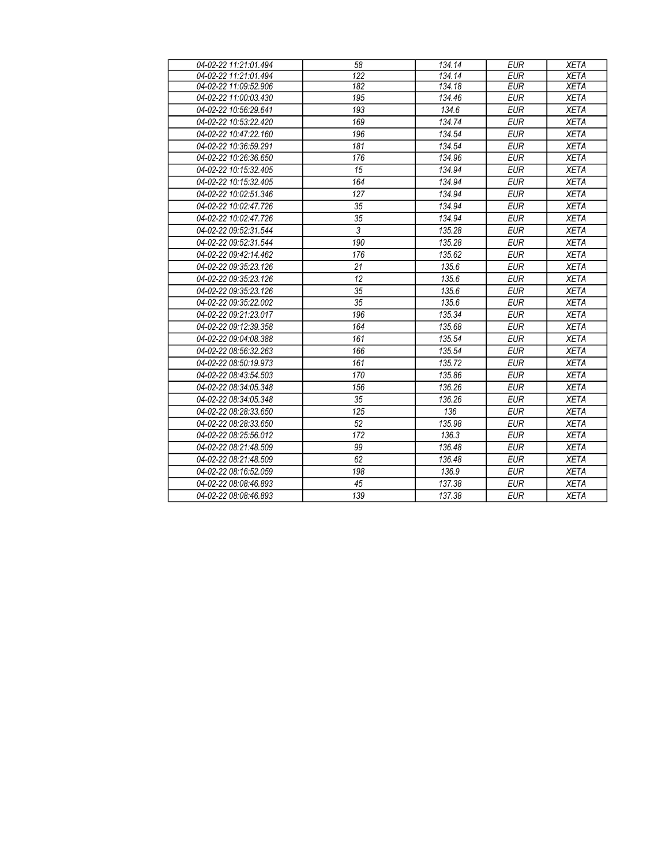| 04-02-22 11:21:01.494 | 58               | 134.14 | <b>EUR</b> | <b>XETA</b> |
|-----------------------|------------------|--------|------------|-------------|
| 04-02-22 11:21:01.494 | $\overline{122}$ | 134.14 | <b>EUR</b> | <b>XETA</b> |
| 04-02-22 11:09:52.906 | 182              | 134.18 | <b>EUR</b> | <b>XETA</b> |
| 04-02-22 11:00:03.430 | 195              | 134.46 | <b>EUR</b> | <b>XETA</b> |
| 04-02-22 10:56:29.641 | 193              | 134.6  | <b>EUR</b> | <b>XETA</b> |
| 04-02-22 10:53:22.420 | 169              | 134.74 | <b>EUR</b> | <b>XETA</b> |
| 04-02-22 10:47:22.160 | 196              | 134.54 | <b>EUR</b> | <b>XETA</b> |
| 04-02-22 10:36:59.291 | 181              | 134.54 | <b>EUR</b> | <b>XETA</b> |
| 04-02-22 10:26:36.650 | 176              | 134.96 | <b>EUR</b> | <b>XETA</b> |
| 04-02-22 10:15:32.405 | 15               | 134.94 | <b>EUR</b> | <b>XETA</b> |
| 04-02-22 10:15:32.405 | 164              | 134.94 | <b>EUR</b> | <b>XETA</b> |
| 04-02-22 10:02:51.346 | 127              | 134.94 | <b>EUR</b> | <b>XETA</b> |
| 04-02-22 10:02:47.726 | 35               | 134.94 | <b>EUR</b> | <b>XETA</b> |
| 04-02-22 10:02:47.726 | 35               | 134.94 | <b>EUR</b> | <b>XETA</b> |
| 04-02-22 09:52:31.544 | $\overline{3}$   | 135.28 | <b>EUR</b> | <b>XETA</b> |
| 04-02-22 09:52:31.544 | 190              | 135.28 | <b>EUR</b> | <b>XETA</b> |
| 04-02-22 09:42:14.462 | 176              | 135.62 | <b>EUR</b> | <b>XETA</b> |
| 04-02-22 09:35:23.126 | 21               | 135.6  | <b>EUR</b> | <b>XETA</b> |
| 04-02-22 09:35:23.126 | 12               | 135.6  | <b>EUR</b> | <b>XETA</b> |
| 04-02-22 09:35:23 126 | 35               | 135.6  | <b>EUR</b> | <b>XETA</b> |
| 04-02-22 09:35:22.002 | 35               | 135.6  | <b>EUR</b> | <b>XETA</b> |
| 04-02-22 09:21:23.017 | 196              | 135.34 | <b>EUR</b> | <b>XETA</b> |
| 04-02-22 09:12:39.358 | 164              | 135.68 | <b>EUR</b> | <b>XETA</b> |
| 04-02-22 09:04:08.388 | 161              | 135.54 | <b>EUR</b> | <b>XETA</b> |
| 04-02-22 08:56:32.263 | 166              | 135.54 | <b>EUR</b> | <b>XETA</b> |
| 04-02-22 08:50:19.973 | 161              | 135.72 | <b>EUR</b> | <b>XETA</b> |
| 04-02-22 08:43:54.503 | 170              | 135.86 | <b>EUR</b> | <b>XETA</b> |
| 04-02-22 08:34:05.348 | 156              | 136.26 | <b>EUR</b> | <b>XETA</b> |
| 04-02-22 08:34:05.348 | 35               | 136.26 | <b>EUR</b> | <b>XETA</b> |
| 04-02-22 08:28:33.650 | 125              | 136    | <b>EUR</b> | <b>XETA</b> |
| 04-02-22 08:28:33.650 | 52               | 135.98 | <b>EUR</b> | <b>XETA</b> |
| 04-02-22 08:25:56.012 | 172              | 136.3  | <b>EUR</b> | <b>XETA</b> |
| 04-02-22 08:21:48.509 | 99               | 136.48 | <b>EUR</b> | <b>XETA</b> |
| 04-02-22 08:21:48.509 | 62               | 136.48 | <b>EUR</b> | <b>XETA</b> |
| 04-02-22 08:16:52.059 | 198              | 136.9  | <b>EUR</b> | <b>XETA</b> |
| 04-02-22 08:08:46.893 | 45               | 137.38 | <b>EUR</b> | <b>XETA</b> |
| 04-02-22 08:08:46.893 | 139              | 137.38 | <b>EUR</b> | <b>XETA</b> |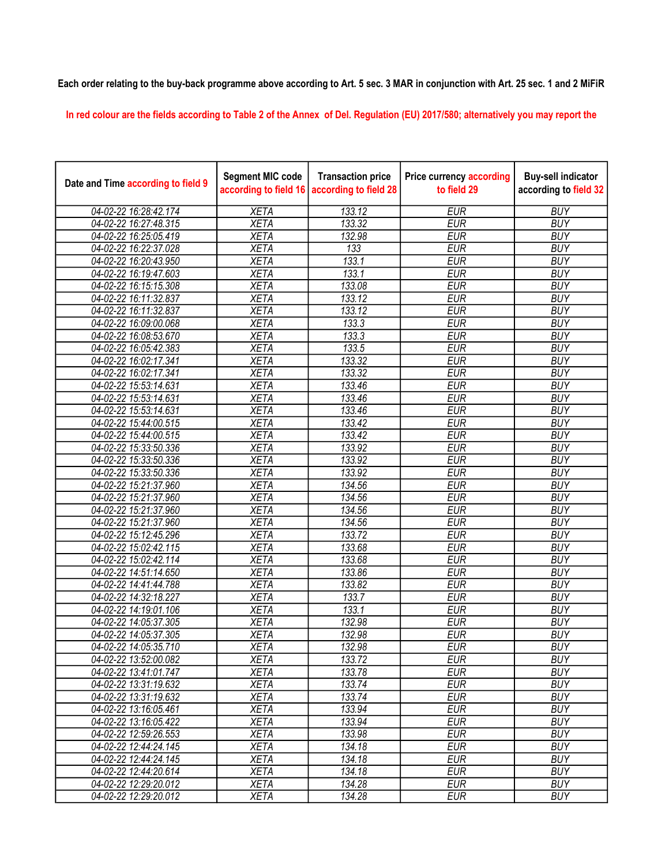## Each order relating to the buy-back programme above according to Art. 5 sec. 3 MAR in conjunction with Art. 25 sec. 1 and 2 MiFiR

In red colour are the fields according to Table 2 of the Annex of Del. Regulation (EU) 2017/580; alternatively you may report the

| Date and Time according to field 9 | <b>Segment MIC code</b><br>according to field 16 | <b>Transaction price</b><br>according to field 28 | <b>Price currency according</b><br>to field 29 | <b>Buy-sell indicator</b><br>according to field 32 |
|------------------------------------|--------------------------------------------------|---------------------------------------------------|------------------------------------------------|----------------------------------------------------|
| 04-02-22 16:28:42.174              | <b>XETA</b>                                      | 133.12                                            | <b>EUR</b>                                     | <b>BUY</b>                                         |
| 04-02-22 16:27:48.315              | <b>XETA</b>                                      | 133.32                                            | <b>EUR</b>                                     | <b>BUY</b>                                         |
| 04-02-22 16:25:05.419              | <b>XETA</b>                                      | 132.98                                            | <b>EUR</b>                                     | <b>BUY</b>                                         |
| 04-02-22 16:22:37.028              | <b>XETA</b>                                      | 133                                               | <b>EUR</b>                                     | <b>BUY</b>                                         |
| 04-02-22 16:20:43.950              | <b>XETA</b>                                      | 133.1                                             | <b>EUR</b>                                     | <b>BUY</b>                                         |
| 04-02-22 16:19:47.603              | <b>XETA</b>                                      | 133.1                                             | <b>EUR</b>                                     | <b>BUY</b>                                         |
| 04-02-22 16:15:15.308              | <b>XETA</b>                                      | 133.08                                            | <b>EUR</b>                                     | <b>BUY</b>                                         |
| 04-02-22 16:11:32.837              | <b>XETA</b>                                      | 133.12                                            | <b>EUR</b>                                     | <b>BUY</b>                                         |
| 04-02-22 16:11:32.837              | <b>XETA</b>                                      | 133.12                                            | <b>EUR</b>                                     | <b>BUY</b>                                         |
| 04-02-22 16:09:00.068              | <b>XETA</b>                                      | 133.3                                             | <b>EUR</b>                                     | <b>BUY</b>                                         |
| 04-02-22 16:08:53.670              | <b>XETA</b>                                      | 133.3                                             | <b>EUR</b>                                     | <b>BUY</b>                                         |
| 04-02-22 16:05:42.383              | <b>XETA</b>                                      | 133.5                                             | <b>EUR</b>                                     | <b>BUY</b>                                         |
| 04-02-22 16:02:17.341              | <b>XETA</b>                                      | 133.32                                            | <b>EUR</b>                                     | <b>BUY</b>                                         |
| 04-02-22 16:02:17.341              | <b>XETA</b>                                      | 133.32                                            | <b>EUR</b>                                     | <b>BUY</b>                                         |
| 04-02-22 15:53:14.631              | <b>XETA</b>                                      | 133.46                                            | <b>EUR</b>                                     | <b>BUY</b>                                         |
| 04-02-22 15:53:14.631              | <b>XETA</b>                                      | 133.46                                            | <b>EUR</b>                                     | <b>BUY</b>                                         |
| 04-02-22 15:53:14.631              | <b>XETA</b>                                      | 133.46                                            | <b>EUR</b>                                     | <b>BUY</b>                                         |
| 04-02-22 15:44:00.515              | <b>XETA</b>                                      | 133.42                                            | <b>EUR</b>                                     | <b>BUY</b>                                         |
| 04-02-22 15:44:00.515              | <b>XETA</b>                                      | 133.42                                            | <b>EUR</b>                                     | <b>BUY</b>                                         |
| 04-02-22 15:33:50.336              | <b>XETA</b>                                      | 133.92                                            | <b>EUR</b>                                     | <b>BUY</b>                                         |
| 04-02-22 15:33:50.336              | <b>XETA</b>                                      | 133.92                                            | <b>EUR</b>                                     | <b>BUY</b>                                         |
| 04-02-22 15:33:50.336              | <b>XETA</b>                                      | 133.92                                            | <b>EUR</b>                                     | <b>BUY</b>                                         |
| 04-02-22 15:21:37.960              | <b>XETA</b>                                      | 134.56                                            | <b>EUR</b>                                     | <b>BUY</b>                                         |
| 04-02-22 15:21:37.960              | <b>XETA</b>                                      | 134.56                                            | <b>EUR</b>                                     | <b>BUY</b>                                         |
| 04-02-22 15:21:37.960              | <b>XETA</b>                                      | 134.56                                            | <b>EUR</b>                                     | <b>BUY</b>                                         |
| 04-02-22 15:21:37.960              | <b>XETA</b>                                      | 134.56                                            | <b>EUR</b>                                     | <b>BUY</b>                                         |
| 04-02-22 15:12:45.296              | <b>XETA</b>                                      | 133.72                                            | <b>EUR</b>                                     | <b>BUY</b>                                         |
| 04-02-22 15:02:42.115              | <b>XETA</b>                                      | 133.68                                            | <b>EUR</b>                                     | <b>BUY</b>                                         |
| 04-02-22 15:02:42.114              | <b>XETA</b>                                      | 133.68                                            | <b>EUR</b>                                     | <b>BUY</b>                                         |
| 04-02-22 14:51:14.650              | <b>XETA</b>                                      | 133.86                                            | <b>EUR</b>                                     | <b>BUY</b>                                         |
| 04-02-22 14:41:44.788              | <b>XETA</b>                                      | 133.82                                            | <b>EUR</b>                                     | <b>BUY</b>                                         |
| 04-02-22 14:32:18.227              | <b>XETA</b>                                      | 133.7                                             | <b>EUR</b>                                     | <b>BUY</b>                                         |
| 04-02-22 14:19:01.106              | <b>XETA</b>                                      | 133.1                                             | <b>EUR</b>                                     | <b>BUY</b>                                         |
| 04-02-22 14:05:37.305              | <b>XETA</b>                                      | 132.98                                            | <b>EUR</b>                                     | <b>BUY</b>                                         |
| 04-02-22 14:05:37.305              | <b>XETA</b>                                      | 132.98                                            | <b>EUR</b>                                     | <b>BUY</b>                                         |
| 04-02-22 14:05:35.710              | <b>XETA</b>                                      | 132.98                                            | <b>EUR</b>                                     | <b>BUY</b>                                         |
| 04-02-22 13:52:00.082              | <b>XETA</b>                                      | 133.72                                            | <b>EUR</b>                                     | <b>BUY</b>                                         |
| 04-02-22 13:41:01.747              | <b>XETA</b>                                      | 133.78                                            | <b>EUR</b>                                     | <b>BUY</b>                                         |
| 04-02-22 13:31:19.632              | <b>XETA</b>                                      | 133.74                                            | <b>EUR</b>                                     | <b>BUY</b>                                         |
| 04-02-22 13:31:19.632              | <b>XETA</b>                                      | 133.74                                            | <b>EUR</b>                                     | <b>BUY</b>                                         |
| 04-02-22 13:16:05.461              | <b>XETA</b>                                      | 133.94                                            | <b>EUR</b>                                     | <b>BUY</b>                                         |
| 04-02-22 13:16:05.422              | <b>XETA</b>                                      | 133.94                                            | <b>EUR</b>                                     | <b>BUY</b>                                         |
| 04-02-22 12:59:26.553              | <b>XETA</b>                                      | 133.98                                            | <b>EUR</b>                                     | <b>BUY</b>                                         |
| 04-02-22 12:44:24.145              | <b>XETA</b>                                      | 134.18                                            | <b>EUR</b>                                     | <b>BUY</b>                                         |
| 04-02-22 12:44:24.145              | <b>XETA</b>                                      | 134.18                                            | <b>EUR</b>                                     | <b>BUY</b>                                         |
| 04-02-22 12:44:20.614              | <b>XETA</b>                                      | 134.18                                            | <b>EUR</b>                                     | <b>BUY</b>                                         |
| 04-02-22 12:29:20.012              | <b>XETA</b>                                      | 134.28                                            | <b>EUR</b>                                     | <b>BUY</b>                                         |
| 04-02-22 12:29:20.012              | <b>XETA</b>                                      | 134.28                                            | <b>EUR</b>                                     | <b>BUY</b>                                         |